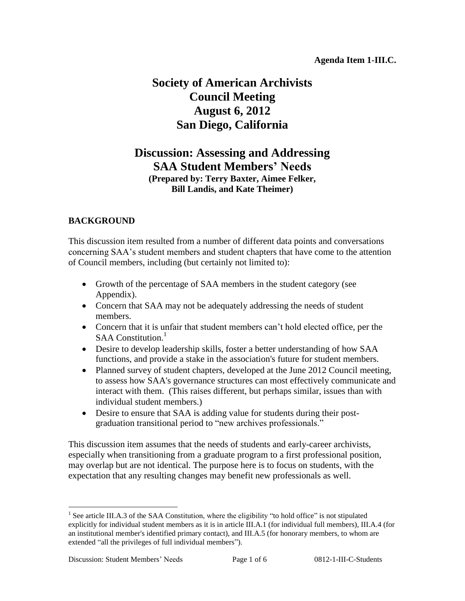# **Society of American Archivists Council Meeting August 6, 2012 San Diego, California**

## **Discussion: Assessing and Addressing SAA Student Members' Needs (Prepared by: Terry Baxter, Aimee Felker, Bill Landis, and Kate Theimer)**

## **BACKGROUND**

This discussion item resulted from a number of different data points and conversations concerning SAA's student members and student chapters that have come to the attention of Council members, including (but certainly not limited to):

- Growth of the percentage of SAA members in the student category (see Appendix).
- Concern that SAA may not be adequately addressing the needs of student members.
- Concern that it is unfair that student members can't hold elected office, per the SAA Constitution.<sup>1</sup>
- Desire to develop leadership skills, foster a better understanding of how SAA functions, and provide a stake in the association's future for student members.
- Planned survey of student chapters, developed at the June 2012 Council meeting, to assess how SAA's governance structures can most effectively communicate and interact with them. (This raises different, but perhaps similar, issues than with individual student members.)
- Desire to ensure that SAA is adding value for students during their postgraduation transitional period to "new archives professionals."

This discussion item assumes that the needs of students and early-career archivists, especially when transitioning from a graduate program to a first professional position, may overlap but are not identical. The purpose here is to focus on students, with the expectation that any resulting changes may benefit new professionals as well.

 $\overline{a}$ 

<sup>&</sup>lt;sup>1</sup> See article III.A.3 of the SAA Constitution, where the eligibility "to hold office" is not stipulated explicitly for individual student members as it is in article III.A.1 (for individual full members), III.A.4 (for an institutional member's identified primary contact), and III.A.5 (for honorary members, to whom are extended "all the privileges of full individual members").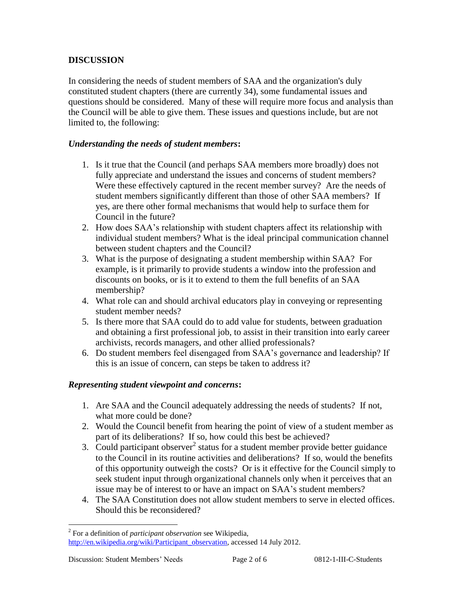## **DISCUSSION**

In considering the needs of student members of SAA and the organization's duly constituted student chapters (there are currently 34), some fundamental issues and questions should be considered. Many of these will require more focus and analysis than the Council will be able to give them. These issues and questions include, but are not limited to, the following:

## *Understanding the needs of student members***:**

- 1. Is it true that the Council (and perhaps SAA members more broadly) does not fully appreciate and understand the issues and concerns of student members? Were these effectively captured in the recent member survey? Are the needs of student members significantly different than those of other SAA members? If yes, are there other formal mechanisms that would help to surface them for Council in the future?
- 2. How does SAA's relationship with student chapters affect its relationship with individual student members? What is the ideal principal communication channel between student chapters and the Council?
- 3. What is the purpose of designating a student membership within SAA? For example, is it primarily to provide students a window into the profession and discounts on books, or is it to extend to them the full benefits of an SAA membership?
- 4. What role can and should archival educators play in conveying or representing student member needs?
- 5. Is there more that SAA could do to add value for students, between graduation and obtaining a first professional job, to assist in their transition into early career archivists, records managers, and other allied professionals?
- 6. Do student members feel disengaged from SAA's governance and leadership? If this is an issue of concern, can steps be taken to address it?

## *Representing student viewpoint and concerns***:**

- 1. Are SAA and the Council adequately addressing the needs of students? If not, what more could be done?
- 2. Would the Council benefit from hearing the point of view of a student member as part of its deliberations? If so, how could this best be achieved?
- 3. Could participant observer<sup>2</sup> status for a student member provide better guidance to the Council in its routine activities and deliberations? If so, would the benefits of this opportunity outweigh the costs? Or is it effective for the Council simply to seek student input through organizational channels only when it perceives that an issue may be of interest to or have an impact on SAA's student members?
- 4. The SAA Constitution does not allow student members to serve in elected offices. Should this be reconsidered?

 $\overline{a}$ 

<sup>2</sup> For a definition of *participant observation* see Wikipedia, [http://en.wikipedia.org/wiki/Participant\\_observation,](http://en.wikipedia.org/wiki/Participant_observation) accessed 14 July 2012.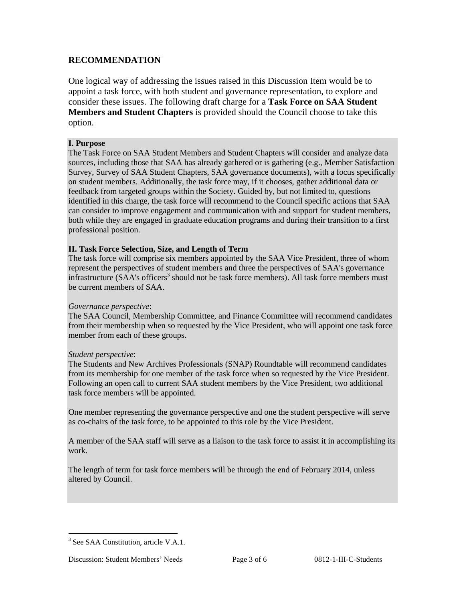## **RECOMMENDATION**

One logical way of addressing the issues raised in this Discussion Item would be to appoint a task force, with both student and governance representation, to explore and consider these issues. The following draft charge for a **Task Force on SAA Student Members and Student Chapters** is provided should the Council choose to take this option.

#### **I. Purpose**

The Task Force on SAA Student Members and Student Chapters will consider and analyze data sources, including those that SAA has already gathered or is gathering (e.g., Member Satisfaction Survey, Survey of SAA Student Chapters, SAA governance documents), with a focus specifically on student members. Additionally, the task force may, if it chooses, gather additional data or feedback from targeted groups within the Society. Guided by, but not limited to, questions identified in this charge, the task force will recommend to the Council specific actions that SAA can consider to improve engagement and communication with and support for student members, both while they are engaged in graduate education programs and during their transition to a first professional position.

#### **II. Task Force Selection, Size, and Length of Term**

The task force will comprise six members appointed by the SAA Vice President, three of whom represent the perspectives of student members and three the perspectives of SAA's governance infrastructure (SAA's officers<sup>3</sup> should not be task force members). All task force members must be current members of SAA.

#### *Governance perspective*:

The SAA Council, Membership Committee, and Finance Committee will recommend candidates from their membership when so requested by the Vice President, who will appoint one task force member from each of these groups.

#### *Student perspective*:

The Students and New Archives Professionals (SNAP) Roundtable will recommend candidates from its membership for one member of the task force when so requested by the Vice President. Following an open call to current SAA student members by the Vice President, two additional task force members will be appointed.

One member representing the governance perspective and one the student perspective will serve as co-chairs of the task force, to be appointed to this role by the Vice President.

A member of the SAA staff will serve as a liaison to the task force to assist it in accomplishing its work.

The length of term for task force members will be through the end of February 2014, unless altered by Council.

 $\overline{a}$ <sup>3</sup> See SAA Constitution, article V.A.1.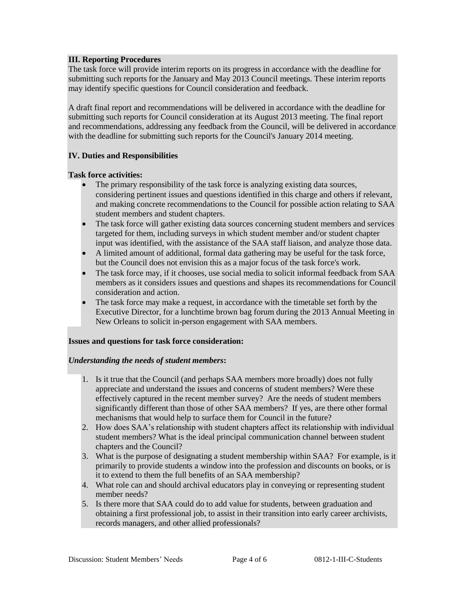#### **III. Reporting Procedures**

The task force will provide interim reports on its progress in accordance with the deadline for submitting such reports for the January and May 2013 Council meetings. These interim reports may identify specific questions for Council consideration and feedback.

A draft final report and recommendations will be delivered in accordance with the deadline for submitting such reports for Council consideration at its August 2013 meeting. The final report and recommendations, addressing any feedback from the Council, will be delivered in accordance with the deadline for submitting such reports for the Council's January 2014 meeting.

#### **IV. Duties and Responsibilities**

#### **Task force activities:**

- The primary responsibility of the task force is analyzing existing data sources, considering pertinent issues and questions identified in this charge and others if relevant, and making concrete recommendations to the Council for possible action relating to SAA student members and student chapters.
- The task force will gather existing data sources concerning student members and services targeted for them, including surveys in which student member and/or student chapter input was identified, with the assistance of the SAA staff liaison, and analyze those data.
- A limited amount of additional, formal data gathering may be useful for the task force, but the Council does not envision this as a major focus of the task force's work.
- The task force may, if it chooses, use social media to solicit informal feedback from SAA members as it considers issues and questions and shapes its recommendations for Council consideration and action.
- The task force may make a request, in accordance with the timetable set forth by the Executive Director, for a lunchtime brown bag forum during the 2013 Annual Meeting in New Orleans to solicit in-person engagement with SAA members.

#### **Issues and questions for task force consideration:**

#### *Understanding the needs of student members***:**

- 1. Is it true that the Council (and perhaps SAA members more broadly) does not fully appreciate and understand the issues and concerns of student members? Were these effectively captured in the recent member survey? Are the needs of student members significantly different than those of other SAA members? If yes, are there other formal mechanisms that would help to surface them for Council in the future?
- 2. How does SAA's relationship with student chapters affect its relationship with individual student members? What is the ideal principal communication channel between student chapters and the Council?
- 3. What is the purpose of designating a student membership within SAA? For example, is it primarily to provide students a window into the profession and discounts on books, or is it to extend to them the full benefits of an SAA membership?
- 4. What role can and should archival educators play in conveying or representing student member needs?
- 5. Is there more that SAA could do to add value for students, between graduation and obtaining a first professional job, to assist in their transition into early career archivists, records managers, and other allied professionals?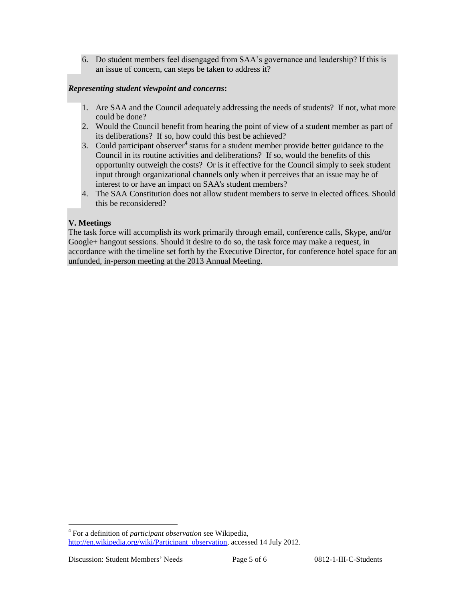6. Do student members feel disengaged from SAA's governance and leadership? If this is an issue of concern, can steps be taken to address it?

### *Representing student viewpoint and concerns***:**

- 1. Are SAA and the Council adequately addressing the needs of students? If not, what more could be done?
- 2. Would the Council benefit from hearing the point of view of a student member as part of its deliberations? If so, how could this best be achieved?
- 3. Could participant observer<sup>4</sup> status for a student member provide better guidance to the Council in its routine activities and deliberations? If so, would the benefits of this opportunity outweigh the costs? Or is it effective for the Council simply to seek student input through organizational channels only when it perceives that an issue may be of interest to or have an impact on SAA's student members?
- 4. The SAA Constitution does not allow student members to serve in elected offices. Should this be reconsidered?

### **V. Meetings**

The task force will accomplish its work primarily through email, conference calls, Skype, and/or Google+ hangout sessions. Should it desire to do so, the task force may make a request, in accordance with the timeline set forth by the Executive Director, for conference hotel space for an unfunded, in-person meeting at the 2013 Annual Meeting.

 $\overline{a}$ 

<sup>4</sup> For a definition of *participant observation* see Wikipedia, [http://en.wikipedia.org/wiki/Participant\\_observation,](http://en.wikipedia.org/wiki/Participant_observation) accessed 14 July 2012.